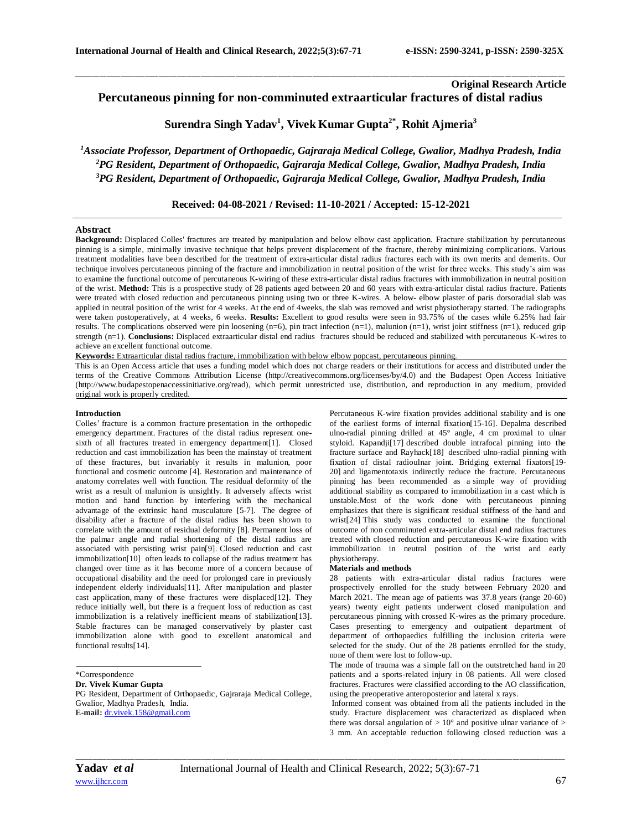# **Original Research Article Percutaneous pinning for non-comminuted extraarticular fractures of distal radius**

**Surendra Singh Yadav<sup>1</sup> , Vivek Kumar Gupta2\* , Rohit Ajmeria<sup>3</sup>**

 $\Box$  . The contribution of the contribution of the contribution of the contribution of the contribution of the contribution of the contribution of the contribution of the contribution of the contribution of the contributi

*<sup>1</sup>Associate Professor, Department of Orthopaedic, Gajraraja Medical College, Gwalior, Madhya Pradesh, India <sup>2</sup>PG Resident, Department of Orthopaedic, Gajraraja Medical College, Gwalior, Madhya Pradesh, India <sup>3</sup>PG Resident, Department of Orthopaedic, Gajraraja Medical College, Gwalior, Madhya Pradesh, India*

**Received: 04-08-2021 / Revised: 11-10-2021 / Accepted: 15-12-2021**

# **Abstract**

**Background:** Displaced Colles' fractures are treated by manipulation and below elbow cast application. Fracture stabilization by percutaneous pinning is a simple, minimally invasive technique that helps prevent displacement of the fracture, thereby minimizing complications. Various treatment modalities have been described for the treatment of extra-articular distal radius fractures each with its own merits and demerits. Our technique involves percutaneous pinning of the fracture and immobilization in neutral position of the wrist for three weeks. This study's aim was to examine the functional outcome of percutaneous K-wiring of these extra-articular distal radius fractures with immobilization in neutral position of the wrist. **Method:** This is a prospective study of 28 patients aged between 20 and 60 years with extra-articular distal radius fracture. Patients were treated with closed reduction and percutaneous pinning using two or three K-wires. A below- elbow plaster of paris dorsoradial slab was applied in neutral position of the wrist for 4 weeks. At the end of 4weeks, the slab was removed and wrist physiotherapy started. The radiographs were taken postoperatively, at 4 weeks, 6 weeks. **Results:** Excellent to good results were seen in 93.75% of the cases while 6.25% had fair results. The complications observed were pin loosening  $(n=6)$ , pin tract infection  $(n=1)$ , malunion  $(n=1)$ , wrist joint stiffness  $(n=1)$ , reduced grip strength (n=1). **Conclusions:** Displaced extraarticular distal end radius fractures should be reduced and stabilized with percutaneous K-wires to achieve an excellent functional outcome.

**Keywords:** Extraarticular distal radius fracture, immobilization with below elbow popcast, percutaneous pinning.

This is an Open Access article that uses a funding model which does not charge readers or their institutions for access and distributed under the terms of the Creative Commons Attribution License (http://creativecommons.org/licenses/by/4.0) and the Budapest Open Access Initiative (http://www.budapestopenaccessinitiative.org/read), which permit unrestricted use, distribution, and reproduction in any medium, provided original work is properly credited.

## **Introduction**

Colles' fracture is a common fracture presentation in the orthopedic emergency department. Fractures of the distal radius represent onesixth of all fractures treated in emergency department[1]. Closed reduction and cast immobilization has been the mainstay of treatment of these fractures, but invariably it results in malunion, poor functional and cosmetic outcome [4]. Restoration and maintenance of anatomy correlates well with function. The residual deformity of the wrist as a result of malunion is unsightly. It adversely affects wrist motion and hand function by interfering with the mechanical advantage of the extrinsic hand musculature [5-7]. The degree of disability after a fracture of the distal radius has been shown to correlate with the amount of residual deformity [8]. Permanent loss of the palmar angle and radial shortening of the distal radius are associated with persisting wrist pain[9]. Closed reduction and cast immobilization[10] often leads to collapse of the radius treatment has changed over time as it has become more of a concern because of occupational disability and the need for prolonged care in previously independent elderly individuals[11]. After manipulation and plaster cast application, many of these fractures were displaced[12]. They reduce initially well, but there is a frequent loss of reduction as cast immobilization is a relatively inefficient means of stabilization[13]. Stable fractures can be managed conservatively by plaster cast immobilization alone with good to excellent anatomical and functional results[14].

\*Correspondence

**Dr. Vivek Kumar Gupta**

PG Resident, Department of Orthopaedic, Gajraraja Medical College, Gwalior, Madhya Pradesh, India. **E-mail:** [dr.vivek.158@gmail.com](mailto:dr.vivek.158@gmail.com)

Percutaneous K-wire fixation provides additional stability and is one of the earliest forms of internal fixation[15-16]. Depalma described ulno-radial pinning drilled at 45° angle, 4 cm proximal to ulnar styloid. Kapandji[17] described double intrafocal pinning into the fracture surface and Rayhack[18] described ulno-radial pinning with fixation of distal radioulnar joint. Bridging external fixators[19- 20] and ligamentotaxis indirectly reduce the fracture. Percutaneous pinning has been recommended as a simple way of providing additional stability as compared to immobilization in a cast which is unstable.Most of the work done with percutaneous pinning emphasizes that there is significant residual stiffness of the hand and wrist[24] This study was conducted to examine the functional outcome of non comminuted extra-articular distal end radius fractures treated with closed reduction and percutaneous K-wire fixation with immobilization in neutral position of the wrist and early physiotherapy.

#### **Materials and methods**

28 patients with extra-articular distal radius fractures were prospectively enrolled for the study between February 2020 and March 2021. The mean age of patients was 37.8 years (range 20-60) years) twenty eight patients underwent closed manipulation and percutaneous pinning with crossed K-wires as the primary procedure. Cases presenting to emergency and outpatient department of department of orthopaedics fulfilling the inclusion criteria were selected for the study. Out of the 28 patients enrolled for the study, none of them were lost to follow-up.

The mode of trauma was a simple fall on the outstretched hand in 20 patients and a sports-related injury in 08 patients. All were closed fractures. Fractures were classified according to the AO classification, using the preoperative anteroposterior and lateral x rays.

Informed consent was obtained from all the patients included in the study. Fracture displacement was characterized as displaced when there was dorsal angulation of  $> 10^{\circ}$  and positive ulnar variance of  $>$ 3 mm. An acceptable reduction following closed reduction was a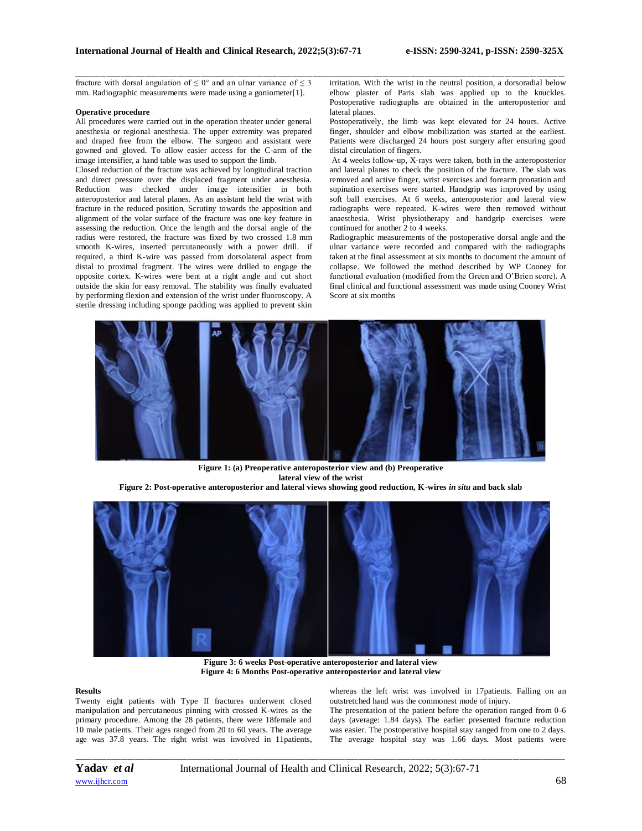fracture with dorsal angulation of  $\leq 0^{\circ}$  and an ulnar variance of  $\leq 3$ mm. Radiographic measurements were made using a goniometer[1].

#### **Operative procedure**

All procedures were carried out in the operation theater under general anesthesia or regional anesthesia. The upper extremity was prepared and draped free from the elbow. The surgeon and assistant were gowned and gloved. To allow easier access for the C-arm of the image intensifier, a hand table was used to support the limb.

Closed reduction of the fracture was achieved by longitudinal traction and direct pressure over the displaced fragment under anesthesia. Reduction was checked under image intensifier in both anteroposterior and lateral planes. As an assistant held the wrist with fracture in the reduced position, Scrutiny towards the apposition and alignment of the volar surface of the fracture was one key feature in assessing the reduction. Once the length and the dorsal angle of the radius were restored, the fracture was fixed by two crossed 1.8 mm smooth K-wires, inserted percutaneously with a power drill. if required, a third K-wire was passed from dorsolateral aspect from distal to proximal fragment. The wires were drilled to engage the opposite cortex. K-wires were bent at a right angle and cut short outside the skin for easy removal. The stability was finally evaluated by performing flexion and extension of the wrist under fluoroscopy. A sterile dressing including sponge padding was applied to prevent skin

irritation. With the wrist in the neutral position, a dorsoradial below elbow plaster of Paris slab was applied up to the knuckles. Postoperative radiographs are obtained in the anteroposterior and lateral planes.

Postoperatively, the limb was kept elevated for 24 hours. Active finger, shoulder and elbow mobilization was started at the earliest. Patients were discharged 24 hours post surgery after ensuring good distal circulation of fingers.

At 4 weeks follow-up, X-rays were taken, both in the anteroposterior and lateral planes to check the position of the fracture. The slab was removed and active finger, wrist exercises and forearm pronation and supination exercises were started. Handgrip was improved by using soft ball exercises. At 6 weeks, anteroposterior and lateral view radiographs were repeated. K-wires were then removed without anaesthesia. Wrist physiotherapy and handgrip exercises were continued for another 2 to 4 weeks.

Radiographic measurements of the postoperative dorsal angle and the ulnar variance were recorded and compared with the radiographs taken at the final assessment at six months to document the amount of collapse. We followed the method described by WP Cooney for functional evaluation (modified from the Green and O'Brien score). A final clinical and functional assessment was made using Cooney Wrist Score at six months



 $\Box$  . The contribution of the contribution of the contribution of the contribution of the contribution of the contribution of the contribution of the contribution of the contribution of the contribution of the contributi

**Figure 1: (a) Preoperative anteroposterior view and (b) Preoperative lateral view of the wrist**

**Figure 2: Post-operative anteroposterior and lateral views showing good reduction, K-wires** *in situ* **and back slab**



**Figure 3: 6 weeks Post-operative anteroposterior and lateral view Figure 4: 6 Months Post-operative anteroposterior and lateral view**

#### **Results**

Twenty eight patients with Type II fractures underwent closed manipulation and percutaneous pinning with crossed K-wires as the primary procedure. Among the 28 patients, there were 18female and 10 male patients. Their ages ranged from 20 to 60 years. The average age was 37.8 years. The right wrist was involved in 11patients,

whereas the left wrist was involved in 17patients. Falling on an outstretched hand was the commonest mode of injury.

The presentation of the patient before the operation ranged from 0-6 days (average: 1.84 days). The earlier presented fracture reduction was easier. The postoperative hospital stay ranged from one to 2 days. The average hospital stay was 1.66 days. Most patients were

*\_\_\_\_\_\_\_\_\_\_\_\_\_\_\_\_\_\_\_\_\_\_\_\_\_\_\_\_\_\_\_\_\_\_\_\_\_\_\_\_\_\_\_\_\_\_\_\_\_\_\_\_\_\_\_\_\_\_\_\_\_\_\_\_\_\_\_\_\_\_\_\_\_\_\_\_\_\_\_\_\_\_\_\_\_\_\_\_\_\_\_\_\_\_\_\_\_\_\_\_\_\_\_\_\_\_\_\_\_\_\_\_\_\_\_\_\_\_\_\_\_\_\_\_\_\_\_\_\_\_\_\_\_\_\_\_\_\_\_\_*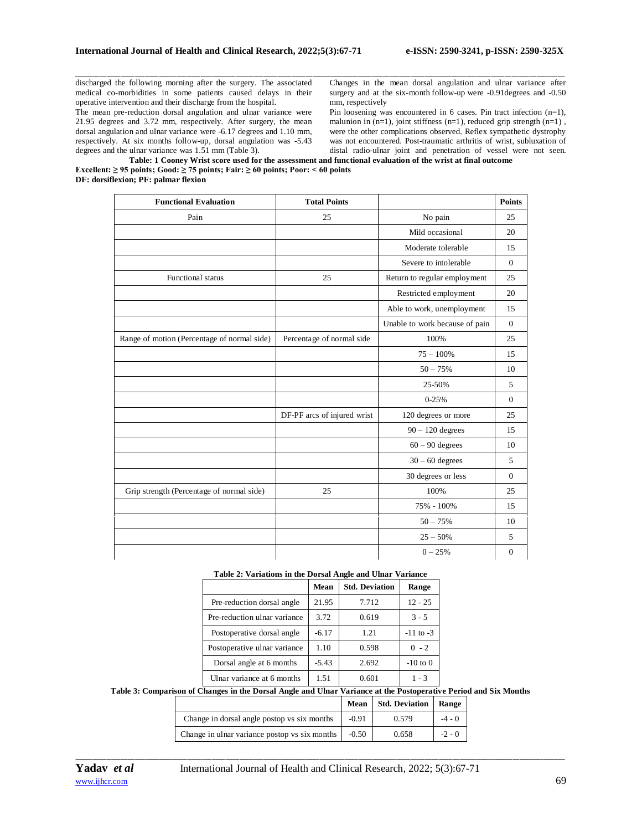discharged the following morning after the surgery. The associated medical co-morbidities in some patients caused delays in their operative intervention and their discharge from the hospital.

The mean pre-reduction dorsal angulation and ulnar variance were 21.95 degrees and 3.72 mm, respectively. After surgery, the mean dorsal angulation and ulnar variance were -6.17 degrees and 1.10 mm, respectively. At six months follow-up, dorsal angulation was -5.43 degrees and the ulnar variance was 1.51 mm (Table 3).

Changes in the mean dorsal angulation and ulnar variance after surgery and at the six-month follow-up were -0.91degrees and -0.50 mm, respectively

Pin loosening was encountered in 6 cases. Pin tract infection (n=1), malunion in (n=1), joint stiffness (n=1), reduced grip strength (n=1), were the other complications observed. Reflex sympathetic dystrophy was not encountered. Post-traumatic arthritis of wrist, subluxation of distal radio-ulnar joint and penetration of vessel were not seen.<br>**d functional evaluation of the wrist at final outcome** 

| Table: 1 Cooney Wrist score used for the assessment and functional evaluation of the wrist at final outcome |
|-------------------------------------------------------------------------------------------------------------|
| Excellent: $\geq$ 95 points; Good: $\geq$ 75 points; Fair: $\geq$ 60 points; Poor: < 60 points              |
| DF: dorsiflexion; PF: palmar flexion                                                                        |

 $\Box$  . The contribution of the contribution of the contribution of the contribution of the contribution of the contribution of the contribution of the contribution of the contribution of the contribution of the contributi

| <b>Functional Evaluation</b>                | <b>Total Points</b>         |                                | <b>Points</b> |
|---------------------------------------------|-----------------------------|--------------------------------|---------------|
| Pain                                        | 25                          | No pain                        | 25            |
|                                             |                             | Mild occasional                | 20            |
|                                             |                             | Moderate tolerable             | 15            |
|                                             |                             | Severe to intolerable          | $\mathbf{0}$  |
| <b>Functional</b> status                    | 25                          | Return to regular employment   | 25            |
|                                             |                             | Restricted employment          | 20            |
|                                             |                             | Able to work, unemployment     | 15            |
|                                             |                             | Unable to work because of pain | $\Omega$      |
| Range of motion (Percentage of normal side) | Percentage of normal side   | 100%                           | 25            |
|                                             |                             | $75 - 100\%$                   | 15            |
|                                             |                             | $50 - 75%$                     | 10            |
|                                             |                             | 25-50%                         | 5             |
|                                             |                             | $0-25%$                        | $\mathbf{0}$  |
|                                             | DF-PF arcs of injured wrist | 120 degrees or more            | 25            |
|                                             |                             | $90 - 120$ degrees             | 15            |
|                                             |                             | $60 - 90$ degrees              | 10            |
|                                             |                             | $30 - 60$ degrees              | 5             |
|                                             |                             | 30 degrees or less             | $\mathbf{0}$  |
| Grip strength (Percentage of normal side)   | 25                          | 100%                           | 25            |
|                                             |                             | 75% - 100%                     | 15            |
|                                             |                             | $50 - 75%$                     | 10            |
|                                             |                             | $25 - 50%$                     | 5             |
|                                             |                             | $0 - 25%$                      | $\mathbf{0}$  |

### **Table 2: Variations in the Dorsal Angle and Ulnar Variance**

|                              | Mean    | <b>Std. Deviation</b> | Range         |
|------------------------------|---------|-----------------------|---------------|
| Pre-reduction dorsal angle   | 21.95   | 7.712                 | $12 - 25$     |
| Pre-reduction ulnar variance | 3.72    | 0.619                 | $3 - 5$       |
| Postoperative dorsal angle   | $-6.17$ | 1.21                  | $-11$ to $-3$ |
| Postoperative ulnar variance | 1.10    | 0.598                 | $0 - 2$       |
| Dorsal angle at 6 months     | $-5.43$ | 2.692                 | $-10$ to $0$  |
| Ulnar variance at 6 months   | 1.51    | 0.601                 | 1 - 3         |

# **Table 3: Comparison of Changes in the Dorsal Angle and Ulnar Variance at the Postoperative Period and Six Months**

|                                               | Mean    | <b>Std. Deviation   Range</b> |          |  |
|-----------------------------------------------|---------|-------------------------------|----------|--|
| Change in dorsal angle postop vs six months   | $-0.91$ | 0.579                         | $-4 - 0$ |  |
| Change in ulnar variance postop vs six months | $-0.50$ | 0.658                         | $-2 - 0$ |  |

*\_\_\_\_\_\_\_\_\_\_\_\_\_\_\_\_\_\_\_\_\_\_\_\_\_\_\_\_\_\_\_\_\_\_\_\_\_\_\_\_\_\_\_\_\_\_\_\_\_\_\_\_\_\_\_\_\_\_\_\_\_\_\_\_\_\_\_\_\_\_\_\_\_\_\_\_\_\_\_\_\_\_\_\_\_\_\_\_\_\_\_\_\_\_\_\_\_\_\_\_\_\_\_\_\_\_\_\_\_\_\_\_\_\_\_\_\_\_\_\_\_\_\_\_\_\_\_\_\_\_\_\_\_\_\_\_\_\_\_\_*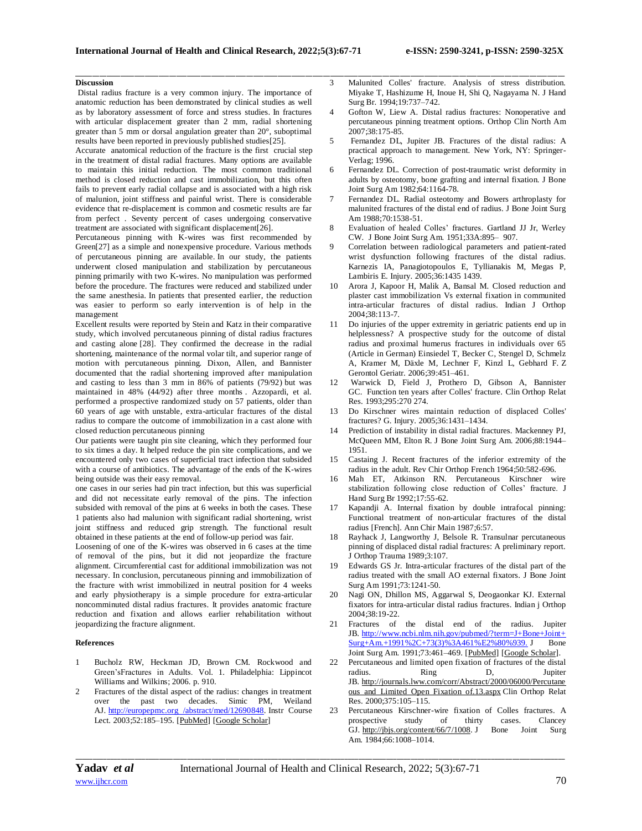$\Box$  . The contribution of the contribution of the contribution of the contribution of the contribution of the contribution of the contribution of the contribution of the contribution of the contribution of the contributi

## **Discussion**

Distal radius fracture is a very common injury. The importance of anatomic reduction has been demonstrated by clinical studies as well as by laboratory assessment of force and stress studies. In fractures with articular displacement greater than 2 mm, radial shortening greater than 5 mm or dorsal angulation greater than 20°, suboptimal results have been reported in previously published studies[25].

Accurate anatomical reduction of the fracture is the first crucial step in the treatment of distal radial fractures. Many options are available to maintain this initial reduction. The most common traditional method is closed reduction and cast immobilization, but this often fails to prevent early radial collapse and is associated with a high risk of malunion, joint stiffness and painful wrist. There is considerable evidence that re-displacement is common and cosmetic results are far from perfect . Seventy percent of cases undergoing conservative treatment are associated with significant displacement[26].

Percutaneous pinning with K-wires was first recommended by Green[27] as a simple and nonexpensive procedure. Various methods of percutaneous pinning are available. In our study, the patients underwent closed manipulation and stabilization by percutaneous pinning primarily with two K-wires. No manipulation was performed before the procedure. The fractures were reduced and stabilized under the same anesthesia. In patients that presented earlier, the reduction was easier to perform so early intervention is of help in the management

Excellent results were reported by Stein and Katz in their comparative study, which involved percutaneous pinning of distal radius fractures and casting alone [28]. They confirmed the decrease in the radial shortening, maintenance of the normal volar tilt, and superior range of motion with percutaneous pinning. Dixon, Allen, and Bannister documented that the radial shortening improved after manipulation and casting to less than 3 mm in 86% of patients (79/92) but was maintained in 48% (44/92) after three months . Azzopardi, et al. performed a prospective randomized study on 57 patients, older than 60 years of age with unstable, extra-articular fractures of the distal radius to compare the outcome of immobilization in a cast alone with closed reduction percutaneous pinning

Our patients were taught pin site cleaning, which they performed four to six times a day. It helped reduce the pin site complications, and we encountered only two cases of superficial tract infection that subsided with a course of antibiotics. The advantage of the ends of the K-wires being outside was their easy removal.

one cases in our series had pin tract infection, but this was superficial and did not necessitate early removal of the pins. The infection subsided with removal of the pins at 6 weeks in both the cases. These 1 patients also had malunion with significant radial shortening, wrist joint stiffness and reduced grip strength. The functional result obtained in these patients at the end of follow-up period was fair.

Loosening of one of the K-wires was observed in 6 cases at the time of removal of the pins, but it did not jeopardize the fracture alignment. Circumferential cast for additional immobilization was not necessary. In conclusion, percutaneous pinning and immobilization of the fracture with wrist immobilized in neutral position for 4 weeks and early physiotherapy is a simple procedure for extra-articular noncomminuted distal radius fractures. It provides anatomic fracture reduction and fixation and allows earlier rehabilitation without jeopardizing the fracture alignment.

#### **References**

- 1 Bucholz RW, Heckman JD, Brown CM. Rockwood and Green'sFractures in Adults. Vol. 1. Philadelphia: Lippincot Williams and Wilkins; 2006. p. 910.
- 2 Fractures of the distal aspect of the radius: changes in treatment over the past two decades. Simic PM, Weiland AJ. http://europepmc.org /abstract/med/12690848. Instr Course Lect. 2003;52:185–195. [\[PubMed\]](https://www.ncbi.nlm.nih.gov/pubmed/12690848) [\[Google Scholar\]](https://scholar.google.com/scholar_lookup?journal=Instr+Course+Lect&title=Fractures+of+the+distal+aspect+of+the+radius:+changes+in+treatment+over+the+past+two+decades&volume=52&publication_year=2003&pages=185-195&pmid=12690848&)
- 3 Malunited Colles' fracture. Analysis of stress distribution. Miyake T, Hashizume H, Inoue H, Shi Q, Nagayama N. J Hand Surg Br. 1994;19:737–742.
- 4 Gofton W, Liew A. Distal radius fractures: Nonoperative and percutaneous pinning treatment options. Orthop Clin North Am  $2007.38.175 - 85$
- 5 Fernandez DL, Jupiter JB. Fractures of the distal radius: A practical approach to management. New York, NY: Springer-Verlag; 1996.
- 6 Fernandez DL. Correction of post-traumatic wrist deformity in adults by osteotomy, bone grafting and internal fixation. J Bone Joint Surg Am 1982;64:1164-78.
- 7 Fernandez DL. Radial osteotomy and Bowers arthroplasty for malunited fractures of the distal end of radius. J Bone Joint Surg Am 1988;70:1538-51.
- 8 Evaluation of healed Colles' fractures. Gartland JJ Jr, Werley CW. J Bone Joint Surg Am. 1951;33A:895– 907.
- Correlation between radiological parameters and patient-rated wrist dysfunction following fractures of the distal radius. Karnezis IA, Panagiotopoulos E, Tyllianakis M, Megas P, Lambiris E. Injury. 2005;36:1435 1439.
- 10 Arora J, Kapoor H, Malik A, Bansal M. Closed reduction and plaster cast immobilization Vs external fixation in communited intra-articular fractures of distal radius. Indian J Orthop 2004;38:113-7.
- 11 Do injuries of the upper extremity in geriatric patients end up in helplessness? A prospective study for the outcome of distal radius and proximal humerus fractures in individuals over 65 (Article in German) Einsiedel T, Becker C, Stengel D, Schmelz A, Kramer M, Däxle M, Lechner F, Kinzl L, Gebhard F. Z Gerontol Geriatr. 2006;39:451–461.
- 12 Warwick D, Field J, Prothero D, Gibson A, Bannister GC. Function ten years after Colles' fracture. Clin Orthop Relat Res. 1993;295:270 274.
- 13 Do Kirschner wires maintain reduction of displaced Colles' fractures? G. Injury. 2005;36:1431–1434.
- 14 Prediction of instability in distal radial fractures. Mackenney PJ, McQueen MM, Elton R. J Bone Joint Surg Am. 2006;88:1944– 1951.
- 15 Castaing J. Recent fractures of the inferior extremity of the radius in the adult. Rev Chir Orthop French 1964;50:582-696.
- 16 Mah ET, Atkinson RN. Percutaneous Kirschner wire stabilization following close reduction of Colles' fracture. J Hand Surg Br 1992;17:55-62.
- 17 Kapandji A. Internal fixation by double intrafocal pinning: Functional treatment of non-articular fractures of the distal radius [French]. Ann Chir Main 1987;6:57.
- Rayhack J, Langworthy J, Belsole R. Transulnar percutaneous pinning of displaced distal radial fractures: A preliminary report. J Orthop Trauma 1989;3:107.
- 19 Edwards GS Jr. Intra-articular fractures of the distal part of the radius treated with the small AO external fixators. J Bone Joint Surg Am 1991;73:1241-50.
- 20 Nagi ON, Dhillon MS, Aggarwal S, Deogaonkar KJ. External fixators for intra-articular distal radius fractures. Indian j Orthop 2004;38:19-22.
- 21 Fractures of the distal end of the radius. Jupiter JB. [http://www.ncbi.nlm.nih.gov/pubmed/?term=J+Bone+Joint+](http://www.ncbi.nlm.nih.gov/pubmed/?term=J+Bone+Joint+Surg+Am.+1991%2C+73(3)%3A461%E2%80%939.)  $Surg+Am.+1991\%2C+73(3)\%3A461\%E2\%80\%939.$  J Bone Joint Surg Am. 1991;73:461–469. [\[PubMed\]](https://www.ncbi.nlm.nih.gov/pubmed/2002085) [\[Google Scholar\]](https://scholar.google.com/scholar_lookup?journal=J+Bone+Joint+Surg+Am&title=Fractures+of+the+distal+end+of+the+radius&volume=73&publication_year=1991&pages=461-469&pmid=2002085&).
- 22 Percutaneous and limited open fixation of fractures of the distal radius. Ring D, Jupiter JB. [http://journals.lww.com/corr/Abstract/2000/06000/Percutane](http://journals.lww.com/corr/Abstract/2000/06000/Percutaneous_and_Limited_Open_Fixation_of.13.aspx) [ous\\_and\\_Limited\\_Open\\_Fixation\\_of.13.aspx](http://journals.lww.com/corr/Abstract/2000/06000/Percutaneous_and_Limited_Open_Fixation_of.13.aspx) Clin Orthop Relat Res. 2000;375:105–115.
- 23 Percutaneous Kirschner-wire fixation of Colles fractures. A prospective study of thirty cases. Clancey GJ. [http://jbjs.org/content/66/7/1008.](http://jbjs.org/content/66/7/1008) J Bone Joint Surg Am. 1984;66:1008–1014.